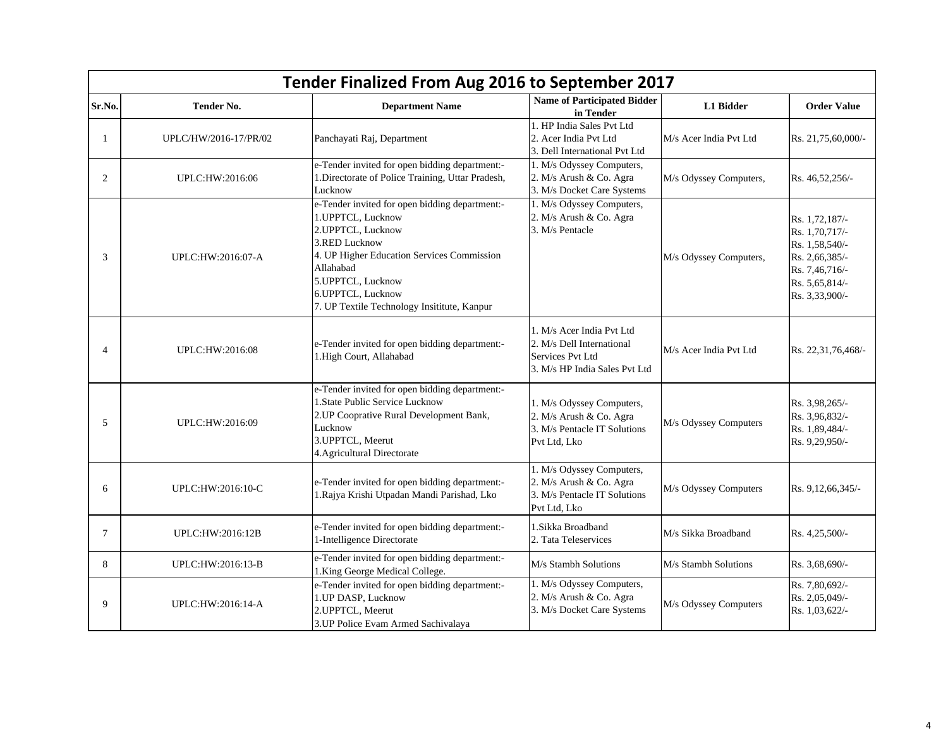|                | Tender Finalized From Aug 2016 to September 2017 |                                                                                                                                                                                                                                                               |                                                                                                             |                        |                                                                                                                            |  |
|----------------|--------------------------------------------------|---------------------------------------------------------------------------------------------------------------------------------------------------------------------------------------------------------------------------------------------------------------|-------------------------------------------------------------------------------------------------------------|------------------------|----------------------------------------------------------------------------------------------------------------------------|--|
| Sr.No.         | <b>Tender No.</b>                                | <b>Department Name</b>                                                                                                                                                                                                                                        | <b>Name of Participated Bidder</b><br>in Tender                                                             | L1 Bidder              | <b>Order Value</b>                                                                                                         |  |
| $\mathbf{1}$   | UPLC/HW/2016-17/PR/02                            | Panchayati Raj, Department                                                                                                                                                                                                                                    | 1. HP India Sales Pvt Ltd<br>2. Acer India Pvt Ltd<br>3. Dell International Pvt Ltd                         | M/s Acer India Pvt Ltd | Rs. 21,75,60,000/-                                                                                                         |  |
| 2              | UPLC:HW:2016:06                                  | e-Tender invited for open bidding department:-<br>1. Directorate of Police Training, Uttar Pradesh,<br>Lucknow                                                                                                                                                | 1. M/s Odyssey Computers,<br>2. M/s Arush & Co. Agra<br>3. M/s Docket Care Systems                          | M/s Odyssey Computers, | Rs. 46,52,256/-                                                                                                            |  |
| 3              | UPLC:HW:2016:07-A                                | e-Tender invited for open bidding department:-<br>1.UPPTCL, Lucknow<br>2.UPPTCL, Lucknow<br>3.RED Lucknow<br>4. UP Higher Education Services Commission<br>Allahabad<br>5.UPPTCL, Lucknow<br>6.UPPTCL, Lucknow<br>7. UP Textile Technology Insititute, Kanpur | 1. M/s Odyssey Computers,<br>2. M/s Arush & Co. Agra<br>3. M/s Pentacle                                     | M/s Odyssey Computers, | Rs. 1,72,187/-<br>Rs. 1,70,717/-<br>Rs. 1,58,540/-<br>Rs. 2,66,385/-<br>Rs. 7,46,716/-<br>Rs. 5,65,814/-<br>Rs. 3,33,900/- |  |
| $\overline{4}$ | UPLC:HW:2016:08                                  | e-Tender invited for open bidding department:-<br>1.High Court, Allahabad                                                                                                                                                                                     | 1. M/s Acer India Pvt Ltd<br>2. M/s Dell International<br>Services Pvt Ltd<br>3. M/s HP India Sales Pvt Ltd | M/s Acer India Pvt Ltd | Rs. 22,31,76,468/-                                                                                                         |  |
| 5              | UPLC:HW:2016:09                                  | e-Tender invited for open bidding department:-<br>1.State Public Service Lucknow<br>2.UP Cooprative Rural Development Bank,<br>Lucknow<br>3. UPPTCL, Meerut<br>4. Agricultural Directorate                                                                    | 1. M/s Odyssey Computers,<br>2. M/s Arush & Co. Agra<br>3. M/s Pentacle IT Solutions<br>Pvt Ltd, Lko        | M/s Odyssey Computers  | Rs. 3,98,265/-<br>Rs. 3,96,832/-<br>Rs. 1,89,484/-<br>Rs. 9,29,950/-                                                       |  |
| 6              | UPLC:HW:2016:10-C                                | e-Tender invited for open bidding department:-<br>1.Rajya Krishi Utpadan Mandi Parishad, Lko                                                                                                                                                                  | 1. M/s Odyssey Computers,<br>2. M/s Arush & Co. Agra<br>3. M/s Pentacle IT Solutions<br>Pvt Ltd, Lko        | M/s Odyssey Computers  | Rs. 9,12,66,345/-                                                                                                          |  |
| $\overline{7}$ | UPLC:HW:2016:12B                                 | e-Tender invited for open bidding department:-<br>1-Intelligence Directorate                                                                                                                                                                                  | 1.Sikka Broadband<br>2. Tata Teleservices                                                                   | M/s Sikka Broadband    | Rs. 4,25,500/-                                                                                                             |  |
| 8              | UPLC:HW:2016:13-B                                | e-Tender invited for open bidding department:-<br>1.King George Medical College.                                                                                                                                                                              | M/s Stambh Solutions                                                                                        | M/s Stambh Solutions   | Rs. 3,68,690/-                                                                                                             |  |
| 9              | UPLC:HW:2016:14-A                                | e-Tender invited for open bidding department:-<br>1.UP DASP, Lucknow<br>2. UPPTCL, Meerut<br>3. UP Police Evam Armed Sachivalaya                                                                                                                              | 1. M/s Odyssey Computers,<br>2. M/s Arush & Co. Agra<br>3. M/s Docket Care Systems                          | M/s Odyssey Computers  | Rs. 7,80,692/-<br>Rs. 2,05,049/-<br>Rs. 1,03,622/-                                                                         |  |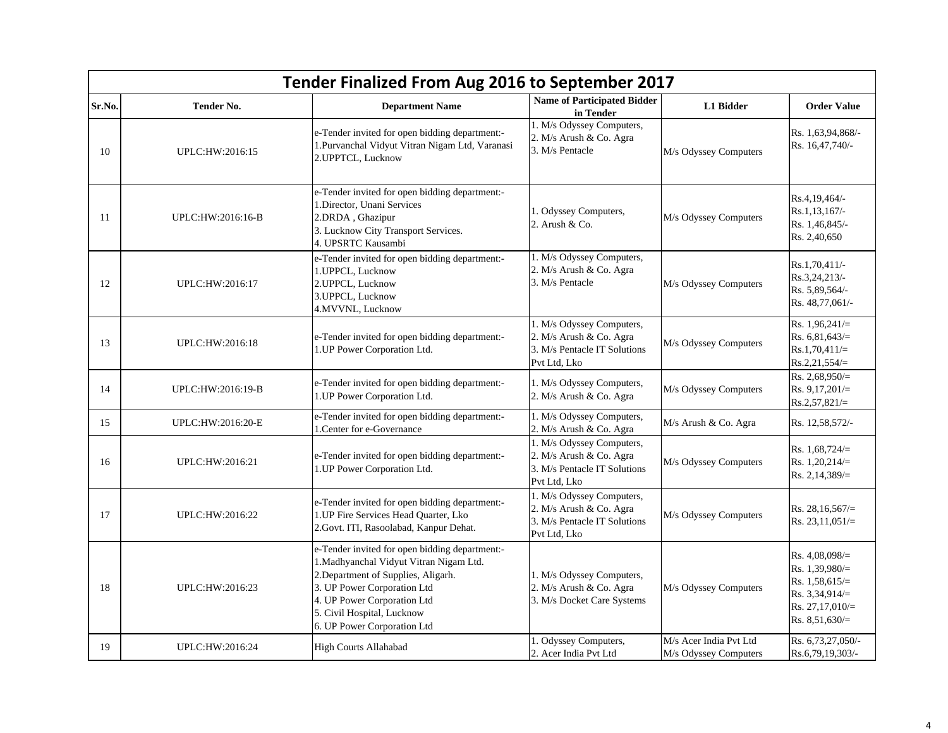|        | Tender Finalized From Aug 2016 to September 2017 |                                                                                                                                                                                                                                                             |                                                                                                      |                                                 |                                                                                                                      |  |
|--------|--------------------------------------------------|-------------------------------------------------------------------------------------------------------------------------------------------------------------------------------------------------------------------------------------------------------------|------------------------------------------------------------------------------------------------------|-------------------------------------------------|----------------------------------------------------------------------------------------------------------------------|--|
| Sr.No. | <b>Tender No.</b>                                | <b>Department Name</b>                                                                                                                                                                                                                                      | <b>Name of Participated Bidder</b><br>in Tender                                                      | L1 Bidder                                       | <b>Order Value</b>                                                                                                   |  |
| 10     | UPLC:HW:2016:15                                  | e-Tender invited for open bidding department:-<br>1. Purvanchal Vidyut Vitran Nigam Ltd, Varanasi<br>2. UPPTCL, Lucknow                                                                                                                                     | 1. M/s Odyssey Computers,<br>2. M/s Arush & Co. Agra<br>3. M/s Pentacle                              | M/s Odyssey Computers                           | Rs. 1,63,94,868/-<br>Rs. 16,47,740/-                                                                                 |  |
| -11    | UPLC:HW:2016:16-B                                | e-Tender invited for open bidding department:-<br>1.Director, Unani Services<br>2.DRDA, Ghazipur<br>3. Lucknow City Transport Services.<br>4. UPSRTC Kausambi                                                                                               | 1. Odyssey Computers,<br>2. Arush & Co.                                                              | M/s Odyssey Computers                           | Rs.4,19,464/-<br>Rs.1,13,167/-<br>Rs. 1,46,845/-<br>Rs. 2,40,650                                                     |  |
| 12     | UPLC:HW:2016:17                                  | e-Tender invited for open bidding department:-<br>1. UPPCL, Lucknow<br>2.UPPCL, Lucknow<br>3.UPPCL, Lucknow<br>4.MVVNL, Lucknow                                                                                                                             | 1. M/s Odyssey Computers,<br>2. M/s Arush & Co. Agra<br>3. M/s Pentacle                              | M/s Odyssey Computers                           | Rs.1,70,411/-<br>Rs.3,24,213/-<br>Rs. 5,89,564/-<br>Rs. 48,77,061/-                                                  |  |
| 13     | UPLC:HW:2016:18                                  | e-Tender invited for open bidding department:-<br>1.UP Power Corporation Ltd.                                                                                                                                                                               | 1. M/s Odyssey Computers,<br>2. M/s Arush & Co. Agra<br>3. M/s Pentacle IT Solutions<br>Pvt Ltd, Lko | M/s Odyssey Computers                           | Rs. $1,96,241/=$<br>Rs. $6,81,643/$<br>$Rs.1,70,411/=$<br>$Rs.2,21,554/=$                                            |  |
| 14     | UPLC:HW:2016:19-B                                | e-Tender invited for open bidding department:-<br>1.UP Power Corporation Ltd.                                                                                                                                                                               | 1. M/s Odyssey Computers,<br>2. M/s Arush & Co. Agra                                                 | M/s Odyssey Computers                           | Rs. 2,68,950/ $=$<br>Rs. $9,17,201/=$<br>$Rs.2,57,821/=$                                                             |  |
| 15     | UPLC:HW:2016:20-E                                | e-Tender invited for open bidding department:-<br>1. Center for e-Governance                                                                                                                                                                                | 1. M/s Odyssey Computers,<br>2. M/s Arush & Co. Agra                                                 | M/s Arush & Co. Agra                            | Rs. 12,58,572/-                                                                                                      |  |
| 16     | UPLC:HW:2016:21                                  | e-Tender invited for open bidding department:-<br>1.UP Power Corporation Ltd.                                                                                                                                                                               | 1. M/s Odyssey Computers,<br>2. M/s Arush & Co. Agra<br>3. M/s Pentacle IT Solutions<br>Pvt Ltd, Lko | M/s Odyssey Computers                           | Rs. $1,68,724/=$<br>Rs. $1,20,214/=$<br>Rs. 2,14,389/ $=$                                                            |  |
| 17     | UPLC:HW:2016:22                                  | e-Tender invited for open bidding department:-<br>1.UP Fire Services Head Quarter, Lko<br>2. Govt. ITI, Rasoolabad, Kanpur Dehat.                                                                                                                           | 1. M/s Odyssey Computers,<br>2. M/s Arush & Co. Agra<br>3. M/s Pentacle IT Solutions<br>Pvt Ltd, Lko | M/s Odyssey Computers                           | Rs. 28,16,567/ $=$<br>Rs. 23,11,051/ $=$                                                                             |  |
| 18     | UPLC:HW:2016:23                                  | e-Tender invited for open bidding department:-<br>1. Madhyanchal Vidyut Vitran Nigam Ltd.<br>2. Department of Supplies, Aligarh.<br>3. UP Power Corporation Ltd<br>4. UP Power Corporation Ltd<br>5. Civil Hospital, Lucknow<br>6. UP Power Corporation Ltd | 1. M/s Odyssey Computers,<br>2. M/s Arush & Co. Agra<br>3. M/s Docket Care Systems                   | M/s Odyssey Computers                           | Rs. $4,08,098/=$<br>Rs. $1,39,980/=$<br>Rs. $1,58,615/=$<br>Rs. 3,34,914/ $=$<br>Rs. 27,17,010/=<br>Rs. $8,51,630/=$ |  |
| 19     | UPLC:HW:2016:24                                  | <b>High Courts Allahabad</b>                                                                                                                                                                                                                                | 1. Odyssey Computers,<br>2. Acer India Pvt Ltd                                                       | M/s Acer India Pvt Ltd<br>M/s Odyssey Computers | Rs. 6,73,27,050/-<br>Rs.6,79,19,303/-                                                                                |  |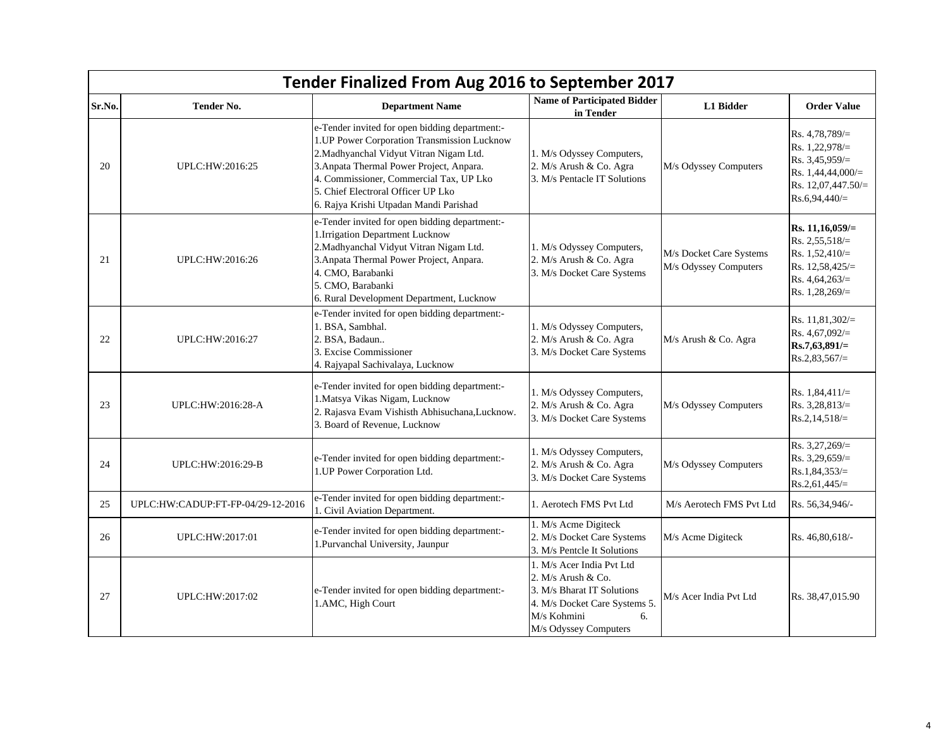| Tender Finalized From Aug 2016 to September 2017 |                                   |                                                                                                                                                                                                                                                                                                                 |                                                                                                                                                                |                                                  |                                                                                                                        |  |
|--------------------------------------------------|-----------------------------------|-----------------------------------------------------------------------------------------------------------------------------------------------------------------------------------------------------------------------------------------------------------------------------------------------------------------|----------------------------------------------------------------------------------------------------------------------------------------------------------------|--------------------------------------------------|------------------------------------------------------------------------------------------------------------------------|--|
| Sr.No.                                           | <b>Tender No.</b>                 | <b>Department Name</b>                                                                                                                                                                                                                                                                                          | <b>Name of Participated Bidder</b><br>in Tender                                                                                                                | L1 Bidder                                        | <b>Order Value</b>                                                                                                     |  |
| 20                                               | UPLC:HW:2016:25                   | e-Tender invited for open bidding department:-<br>1.UP Power Corporation Transmission Lucknow<br>2. Madhyanchal Vidyut Vitran Nigam Ltd.<br>3. Anpata Thermal Power Project, Anpara.<br>4. Commissioner, Commercial Tax, UP Lko<br>5. Chief Electroral Officer UP Lko<br>6. Rajya Krishi Utpadan Mandi Parishad | 1. M/s Odyssey Computers,<br>2. M/s Arush & Co. Agra<br>3. M/s Pentacle IT Solutions                                                                           | M/s Odyssey Computers                            | Rs. $4,78,789/=$<br>Rs. $1,22,978/=$<br>Rs. 3,45,959/=<br>Rs. 1,44,44,000/=<br>Rs. $12,07,447.50 =$<br>$Rs.6,94,440/=$ |  |
| 21                                               | UPLC:HW:2016:26                   | e-Tender invited for open bidding department:-<br>1.Irrigation Department Lucknow<br>2. Madhyanchal Vidyut Vitran Nigam Ltd.<br>3. Anpata Thermal Power Project, Anpara.<br>4. CMO, Barabanki<br>5. CMO, Barabanki<br>6. Rural Development Department, Lucknow                                                  | 1. M/s Odyssey Computers,<br>2. M/s Arush & Co. Agra<br>3. M/s Docket Care Systems                                                                             | M/s Docket Care Systems<br>M/s Odyssey Computers | Rs. 11,16,059/=<br>Rs. 2,55,518/ $=$<br>Rs. $1,52,410/=$<br>Rs. 12,58,425/=<br>Rs. $4,64,263/=$<br>Rs. $1,28,269/=$    |  |
| 22                                               | UPLC:HW:2016:27                   | e-Tender invited for open bidding department:-<br>1. BSA, Sambhal.<br>2. BSA, Badaun<br>3. Excise Commissioner<br>4. Rajyapal Sachivalaya, Lucknow                                                                                                                                                              | 1. M/s Odyssey Computers,<br>2. M/s Arush & Co. Agra<br>3. M/s Docket Care Systems                                                                             | M/s Arush & Co. Agra                             | Rs. 11,81,302/=<br>Rs. $4,67,092/\equiv$<br>$Rs.7,63,891/=$<br>$Rs.2,83,567/=$                                         |  |
| 23                                               | UPLC:HW:2016:28-A                 | e-Tender invited for open bidding department:-<br>1. Matsya Vikas Nigam, Lucknow<br>2. Rajasva Evam Vishisth Abhisuchana, Lucknow.<br>3. Board of Revenue, Lucknow                                                                                                                                              | 1. M/s Odyssey Computers,<br>2. M/s Arush & Co. Agra<br>3. M/s Docket Care Systems                                                                             | M/s Odyssey Computers                            | Rs. $1,84,411/=$<br>Rs. $3,28,813/=$<br>$Rs.2,14,518/=$                                                                |  |
| 24                                               | UPLC:HW:2016:29-B                 | e-Tender invited for open bidding department:-<br>1.UP Power Corporation Ltd.                                                                                                                                                                                                                                   | 1. M/s Odyssey Computers,<br>2. M/s Arush & Co. Agra<br>3. M/s Docket Care Systems                                                                             | M/s Odyssey Computers                            | Rs. $3,27,269/=$<br>Rs. $3,29,659/=$<br>$Rs.1,84,353/=$<br>$Rs.2,61,445/=$                                             |  |
| 25                                               | UPLC:HW:CADUP:FT-FP-04/29-12-2016 | e-Tender invited for open bidding department:-<br>1. Civil Aviation Department.                                                                                                                                                                                                                                 | 1. Aerotech FMS Pvt Ltd                                                                                                                                        | M/s Aerotech FMS Pvt Ltd                         | Rs. 56,34,946/-                                                                                                        |  |
| 26                                               | UPLC:HW:2017:01                   | e-Tender invited for open bidding department:-<br>1.Purvanchal University, Jaunpur                                                                                                                                                                                                                              | 1. M/s Acme Digiteck<br>2. M/s Docket Care Systems<br>3. M/s Pentcle It Solutions                                                                              | M/s Acme Digiteck                                | Rs. 46,80,618/-                                                                                                        |  |
| 27                                               | UPLC:HW:2017:02                   | e-Tender invited for open bidding department:-<br>1.AMC, High Court                                                                                                                                                                                                                                             | 1. M/s Acer India Pvt Ltd<br>2. $M/s$ Arush & Co.<br>3. M/s Bharat IT Solutions<br>4. M/s Docket Care Systems 5.<br>M/s Kohmini<br>6.<br>M/s Odyssey Computers | M/s Acer India Pvt Ltd                           | Rs. 38,47,015.90                                                                                                       |  |